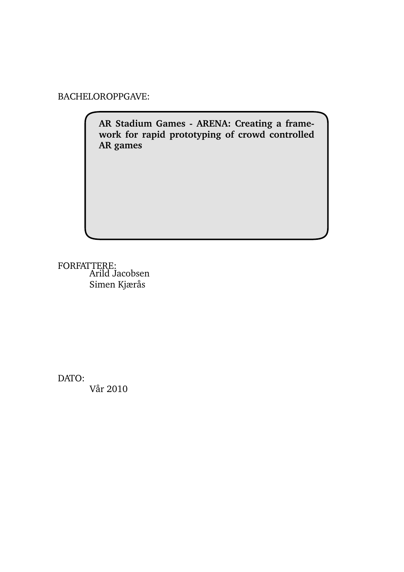BACHELOROPPGAVE:

**AR Stadium Games - ARENA: Creating a framework for rapid prototyping of crowd controlled AR games**

FORFATTERE: Arild Jacobsen Simen Kjærås

DATO:

Vår 2010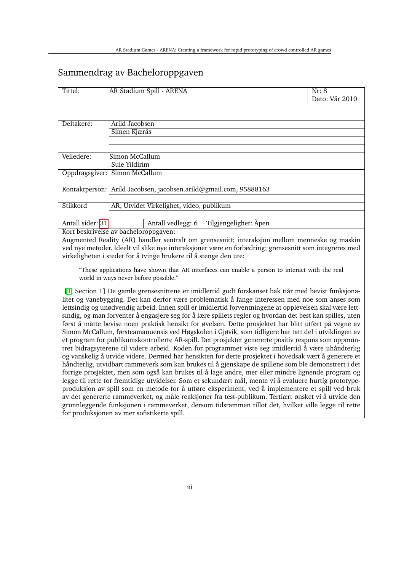# Sammendrag av Bacheloroppgaven

| Tittel:                                                                                                                                  | AR Stadium Spill - ARENA                                                                                                                                                                                     | Nr: 8          |  |  |  |  |  |  |
|------------------------------------------------------------------------------------------------------------------------------------------|--------------------------------------------------------------------------------------------------------------------------------------------------------------------------------------------------------------|----------------|--|--|--|--|--|--|
|                                                                                                                                          |                                                                                                                                                                                                              | Dato: Vår 2010 |  |  |  |  |  |  |
|                                                                                                                                          |                                                                                                                                                                                                              |                |  |  |  |  |  |  |
|                                                                                                                                          |                                                                                                                                                                                                              |                |  |  |  |  |  |  |
| Deltakere:                                                                                                                               | Arild Jacobsen                                                                                                                                                                                               |                |  |  |  |  |  |  |
|                                                                                                                                          | Simen Kjærås                                                                                                                                                                                                 |                |  |  |  |  |  |  |
|                                                                                                                                          |                                                                                                                                                                                                              |                |  |  |  |  |  |  |
| Veiledere:                                                                                                                               | Simon McCallum                                                                                                                                                                                               |                |  |  |  |  |  |  |
|                                                                                                                                          | Sule Yildirim                                                                                                                                                                                                |                |  |  |  |  |  |  |
|                                                                                                                                          | Oppdragsgiver: Simon McCallum                                                                                                                                                                                |                |  |  |  |  |  |  |
|                                                                                                                                          |                                                                                                                                                                                                              |                |  |  |  |  |  |  |
|                                                                                                                                          | Kontaktperson: Arild Jacobsen, jacobsen.arild@gmail.com, 95888163                                                                                                                                            |                |  |  |  |  |  |  |
|                                                                                                                                          |                                                                                                                                                                                                              |                |  |  |  |  |  |  |
| Stikkord                                                                                                                                 | AR, Utvidet Virkelighet, video, publikum                                                                                                                                                                     |                |  |  |  |  |  |  |
| Antall sider: 31                                                                                                                         | Tilgjengelighet: Åpen<br>Antall vedlegg: 6                                                                                                                                                                   |                |  |  |  |  |  |  |
|                                                                                                                                          | Kort beskrivelse av bacheloroppgaven:                                                                                                                                                                        |                |  |  |  |  |  |  |
|                                                                                                                                          | Augmented Reality (AR) handler sentralt om grensesnitt; interaksjon mellom menneske og maskin                                                                                                                |                |  |  |  |  |  |  |
|                                                                                                                                          | ved nye metoder. Ideelt vil slike nye interaksjoner være en forbedring; grensesnitt som integreres med                                                                                                       |                |  |  |  |  |  |  |
|                                                                                                                                          | virkeligheten i stedet for å tvinge brukere til å stenge den ute:                                                                                                                                            |                |  |  |  |  |  |  |
|                                                                                                                                          |                                                                                                                                                                                                              |                |  |  |  |  |  |  |
| "These applications have shown that AR interfaces can enable a person to interact with the real<br>world in ways never before possible." |                                                                                                                                                                                                              |                |  |  |  |  |  |  |
|                                                                                                                                          |                                                                                                                                                                                                              |                |  |  |  |  |  |  |
|                                                                                                                                          | [1, Section 1] De gamle grensesnittene er imidlertid godt forskanset bak tiår med bevist funksjona-                                                                                                          |                |  |  |  |  |  |  |
|                                                                                                                                          | litet og vanebygging. Det kan derfor være problematisk å fange interessen med noe som anses som                                                                                                              |                |  |  |  |  |  |  |
|                                                                                                                                          | lettsindig og unødvendig arbeid. Innen spill er imidlertid forventningene at opplevelsen skal være lett-                                                                                                     |                |  |  |  |  |  |  |
|                                                                                                                                          | sindig, og man forventer å engasjere seg for å lære spillets regler og hvordan det best kan spilles, uten                                                                                                    |                |  |  |  |  |  |  |
|                                                                                                                                          | først å måtte bevise noen praktisk hensikt for øvelsen. Dette prosjektet har blitt utført på vegne av                                                                                                        |                |  |  |  |  |  |  |
|                                                                                                                                          | Simon McCallum, førsteamanuensis ved Høgskolen i Gjøvik, som tidligere har tatt del i utviklingen av                                                                                                         |                |  |  |  |  |  |  |
|                                                                                                                                          | et program for publikumskontrollerte AR-spill. Det prosjektet genererte positiv respons som oppmun-                                                                                                          |                |  |  |  |  |  |  |
|                                                                                                                                          | tret bidragsyterene til videre arbeid. Koden for programmet viste seg imidlertid å være uhåndterlig<br>og vanskelig å utvide videre. Dermed har hensikten for dette prosjektet i hovedsak vært å generere et |                |  |  |  |  |  |  |
|                                                                                                                                          | håndterlig, utvidbart rammeverk som kan brukes til å gjenskape de spillene som ble demonstrert i det                                                                                                         |                |  |  |  |  |  |  |
|                                                                                                                                          | forrige prosjektet, men som også kan brukes til å lage andre, mer eller mindre lignende program og                                                                                                           |                |  |  |  |  |  |  |
|                                                                                                                                          | legge til rette for fremtidige utvidelser. Som et sekundært mål, mente vi å evaluere hurtig prototype-                                                                                                       |                |  |  |  |  |  |  |
|                                                                                                                                          | produksjon av spill som en metode for å utføre eksperiment, ved å implementere et spill ved bruk                                                                                                             |                |  |  |  |  |  |  |

av det genererte rammeverket, og måle reaksjoner fra test-publikum. Tertiært ønsket vi å utvide den grunnleggende funksjonen i rammeverket, dersom tidsrammen tillot det, hvilket ville legge til rette for produksjonen av mer sofistikerte spill.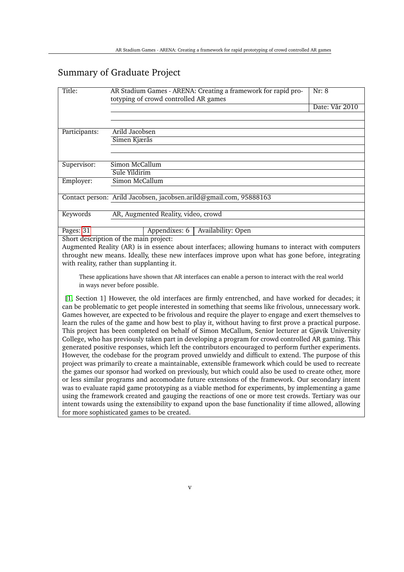# Summary of Graduate Project

| Title:                                    | AR Stadium Games - ARENA: Creating a framework for rapid pro-<br>Nr: 8<br>totyping of crowd controlled AR games                                                                                                                                                                                                                                                                                                                                                                                                                                                                                                                                                                                                                                                                                                                                                                                                                                                                                                                                                                                                                                                                                                                                                                                                                                                                      |                |  |  |  |  |  |  |
|-------------------------------------------|--------------------------------------------------------------------------------------------------------------------------------------------------------------------------------------------------------------------------------------------------------------------------------------------------------------------------------------------------------------------------------------------------------------------------------------------------------------------------------------------------------------------------------------------------------------------------------------------------------------------------------------------------------------------------------------------------------------------------------------------------------------------------------------------------------------------------------------------------------------------------------------------------------------------------------------------------------------------------------------------------------------------------------------------------------------------------------------------------------------------------------------------------------------------------------------------------------------------------------------------------------------------------------------------------------------------------------------------------------------------------------------|----------------|--|--|--|--|--|--|
|                                           |                                                                                                                                                                                                                                                                                                                                                                                                                                                                                                                                                                                                                                                                                                                                                                                                                                                                                                                                                                                                                                                                                                                                                                                                                                                                                                                                                                                      | Date: Vår 2010 |  |  |  |  |  |  |
|                                           |                                                                                                                                                                                                                                                                                                                                                                                                                                                                                                                                                                                                                                                                                                                                                                                                                                                                                                                                                                                                                                                                                                                                                                                                                                                                                                                                                                                      |                |  |  |  |  |  |  |
| Participants:                             | Arild Jacobsen                                                                                                                                                                                                                                                                                                                                                                                                                                                                                                                                                                                                                                                                                                                                                                                                                                                                                                                                                                                                                                                                                                                                                                                                                                                                                                                                                                       |                |  |  |  |  |  |  |
|                                           | Simen Kjærås                                                                                                                                                                                                                                                                                                                                                                                                                                                                                                                                                                                                                                                                                                                                                                                                                                                                                                                                                                                                                                                                                                                                                                                                                                                                                                                                                                         |                |  |  |  |  |  |  |
|                                           |                                                                                                                                                                                                                                                                                                                                                                                                                                                                                                                                                                                                                                                                                                                                                                                                                                                                                                                                                                                                                                                                                                                                                                                                                                                                                                                                                                                      |                |  |  |  |  |  |  |
| Supervisor:                               | Simon McCallum                                                                                                                                                                                                                                                                                                                                                                                                                                                                                                                                                                                                                                                                                                                                                                                                                                                                                                                                                                                                                                                                                                                                                                                                                                                                                                                                                                       |                |  |  |  |  |  |  |
|                                           | Sule Yildirim                                                                                                                                                                                                                                                                                                                                                                                                                                                                                                                                                                                                                                                                                                                                                                                                                                                                                                                                                                                                                                                                                                                                                                                                                                                                                                                                                                        |                |  |  |  |  |  |  |
| Employer:                                 | <b>Simon McCallum</b>                                                                                                                                                                                                                                                                                                                                                                                                                                                                                                                                                                                                                                                                                                                                                                                                                                                                                                                                                                                                                                                                                                                                                                                                                                                                                                                                                                |                |  |  |  |  |  |  |
|                                           |                                                                                                                                                                                                                                                                                                                                                                                                                                                                                                                                                                                                                                                                                                                                                                                                                                                                                                                                                                                                                                                                                                                                                                                                                                                                                                                                                                                      |                |  |  |  |  |  |  |
|                                           | Contact person: Arild Jacobsen, jacobsen.arild@gmail.com, 95888163                                                                                                                                                                                                                                                                                                                                                                                                                                                                                                                                                                                                                                                                                                                                                                                                                                                                                                                                                                                                                                                                                                                                                                                                                                                                                                                   |                |  |  |  |  |  |  |
| Keywords                                  | AR, Augmented Reality, video, crowd                                                                                                                                                                                                                                                                                                                                                                                                                                                                                                                                                                                                                                                                                                                                                                                                                                                                                                                                                                                                                                                                                                                                                                                                                                                                                                                                                  |                |  |  |  |  |  |  |
|                                           |                                                                                                                                                                                                                                                                                                                                                                                                                                                                                                                                                                                                                                                                                                                                                                                                                                                                                                                                                                                                                                                                                                                                                                                                                                                                                                                                                                                      |                |  |  |  |  |  |  |
| Pages: 31                                 | Availability: Open<br>Appendixes: 6                                                                                                                                                                                                                                                                                                                                                                                                                                                                                                                                                                                                                                                                                                                                                                                                                                                                                                                                                                                                                                                                                                                                                                                                                                                                                                                                                  |                |  |  |  |  |  |  |
|                                           | Short description of the main project:                                                                                                                                                                                                                                                                                                                                                                                                                                                                                                                                                                                                                                                                                                                                                                                                                                                                                                                                                                                                                                                                                                                                                                                                                                                                                                                                               |                |  |  |  |  |  |  |
|                                           | Augmented Reality (AR) is in essence about interfaces; allowing humans to interact with computers                                                                                                                                                                                                                                                                                                                                                                                                                                                                                                                                                                                                                                                                                                                                                                                                                                                                                                                                                                                                                                                                                                                                                                                                                                                                                    |                |  |  |  |  |  |  |
|                                           | throught new means. Ideally, these new interfaces improve upon what has gone before, integrating                                                                                                                                                                                                                                                                                                                                                                                                                                                                                                                                                                                                                                                                                                                                                                                                                                                                                                                                                                                                                                                                                                                                                                                                                                                                                     |                |  |  |  |  |  |  |
| with reality, rather than supplanting it. |                                                                                                                                                                                                                                                                                                                                                                                                                                                                                                                                                                                                                                                                                                                                                                                                                                                                                                                                                                                                                                                                                                                                                                                                                                                                                                                                                                                      |                |  |  |  |  |  |  |
|                                           | These applications have shown that AR interfaces can enable a person to interact with the real world<br>in ways never before possible.                                                                                                                                                                                                                                                                                                                                                                                                                                                                                                                                                                                                                                                                                                                                                                                                                                                                                                                                                                                                                                                                                                                                                                                                                                               |                |  |  |  |  |  |  |
|                                           | [1, Section 1] However, the old interfaces are firmly entrenched, and have worked for decades; it<br>can be problematic to get people interested in something that seems like frivolous, unnecessary work.<br>Games however, are expected to be frivolous and require the player to engage and exert themselves to<br>learn the rules of the game and how best to play it, without having to first prove a practical purpose.<br>This project has been completed on behalf of Simon McCallum, Senior lecturer at Gjøvik University<br>College, who has previously taken part in developing a program for crowd controlled AR gaming. This<br>generated positive responses, which left the contributors encouraged to perform further experiments.<br>However, the codebase for the program proved unwieldy and difficult to extend. The purpose of this<br>project was primarily to create a maintainable, extensible framework which could be used to recreate<br>the games our sponsor had worked on previously, but which could also be used to create other, more<br>or less similar programs and accomodate future extensions of the framework. Our secondary intent<br>was to evaluate rapid game prototyping as a viable method for experiments, by implementing a game<br>using the framework created and gauging the reactions of one or more test crowds. Tertiary was our |                |  |  |  |  |  |  |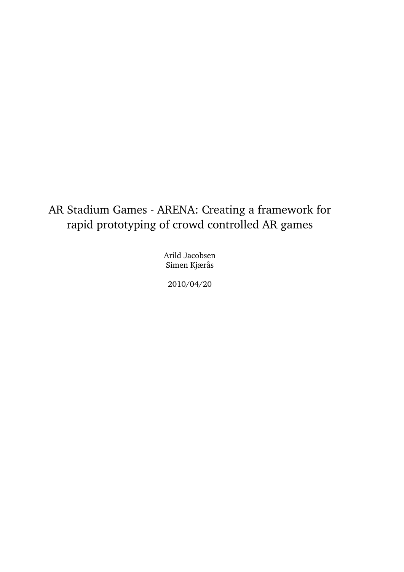# AR Stadium Games - ARENA: Creating a framework for rapid prototyping of crowd controlled AR games

Arild Jacobsen Simen Kjærås

2010/04/20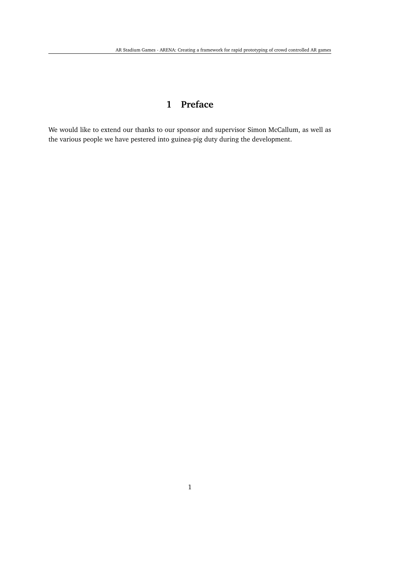## **1 Preface**

<span id="page-7-0"></span>We would like to extend our thanks to our sponsor and supervisor Simon McCallum, as well as the various people we have pestered into guinea-pig duty during the development.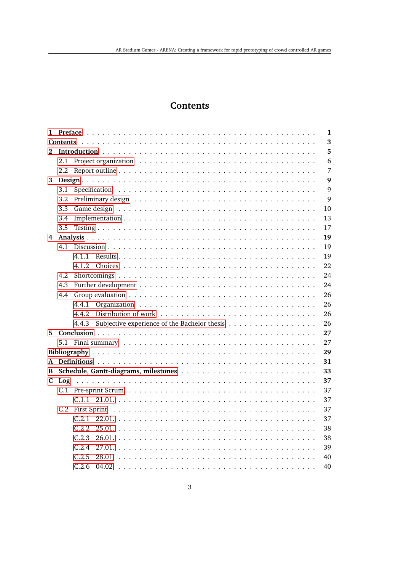### **Contents**

<span id="page-9-0"></span>

|    |     | 1                                                           |
|----|-----|-------------------------------------------------------------|
|    |     | $\mathbf 3$                                                 |
| 2  |     | 5                                                           |
|    | 2.1 | 6                                                           |
|    | 2.2 | 7                                                           |
| 3  |     | 9                                                           |
|    | 3.1 | 9                                                           |
|    | 3.2 | 9                                                           |
|    | 3.3 | 10                                                          |
|    | 3.4 | 13                                                          |
|    | 3.5 | 17                                                          |
| 4  |     | 19                                                          |
|    |     | 19                                                          |
|    |     | 19<br>4.1.1                                                 |
|    |     | 22<br>4.1.2                                                 |
|    | 4.2 | 24                                                          |
|    | 4.3 | 24                                                          |
|    | 4.4 | 26                                                          |
|    |     | 4.4.1<br>26                                                 |
|    |     | 4.4.2<br>26                                                 |
|    |     | Subjective experience of the Bachelor thesis<br>26<br>4.4.3 |
| 5. |     | 27                                                          |
|    |     | 27                                                          |
|    |     | 29                                                          |
|    |     | 31                                                          |
| B  |     | 33                                                          |
| C. | Log | 37                                                          |
|    |     | 37                                                          |
|    |     | 37                                                          |
|    |     | 37                                                          |
|    |     | C.2.1<br>37                                                 |
|    |     | C.2.2<br>38                                                 |
|    |     | C.2.3<br>38                                                 |
|    |     | C.2.4<br>39                                                 |
|    |     | C.2.5<br>40<br>28.01                                        |
|    |     | C.2.6<br>04.02<br>40                                        |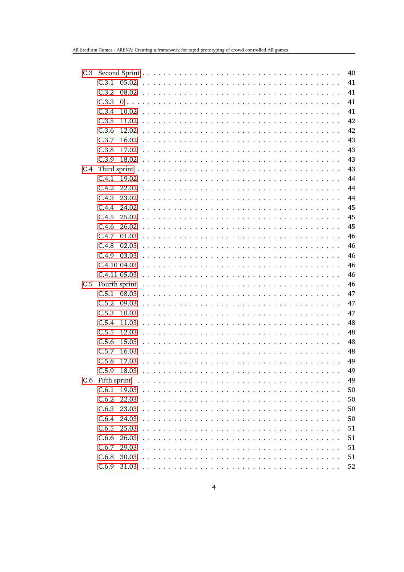| C.3 |                  |                                                                                                                         | 40 |
|-----|------------------|-------------------------------------------------------------------------------------------------------------------------|----|
|     | C.3.1<br>05.02   |                                                                                                                         | 41 |
|     | C.3.2<br>08.02   |                                                                                                                         | 41 |
|     | C.3.3            |                                                                                                                         | 41 |
|     | C.3.4<br>10.02   |                                                                                                                         | 41 |
|     | C.3.5<br>11.02   |                                                                                                                         | 42 |
|     | C.3.6<br>12.02   |                                                                                                                         | 42 |
|     | C.3.7<br>16.02   |                                                                                                                         | 43 |
|     | C.3.8<br>17.02   |                                                                                                                         | 43 |
|     | C.3.9<br>18.02   |                                                                                                                         | 43 |
| C.4 |                  |                                                                                                                         | 43 |
|     | C.4.1<br>19.02   |                                                                                                                         | 44 |
|     | C.4.2<br>22.02   |                                                                                                                         | 44 |
|     | C.4.3<br>23.02   |                                                                                                                         | 44 |
|     | C.4.4<br>24.02   |                                                                                                                         | 45 |
|     | C.4.5<br>25.02   |                                                                                                                         | 45 |
|     | C.4.6<br>26.02   |                                                                                                                         | 45 |
|     | C.4.7<br>01.03   |                                                                                                                         | 46 |
|     | C.4.8<br>02.03   |                                                                                                                         | 46 |
|     | C.4.9<br>03.03   |                                                                                                                         | 46 |
|     | C.4.10 04.03     |                                                                                                                         | 46 |
|     | C.4.11 05.03     |                                                                                                                         | 46 |
| C.5 | Fourth sprint    |                                                                                                                         | 46 |
|     | $C.5.1$ 08.03    |                                                                                                                         | 47 |
|     | C.5.2<br>09.03   |                                                                                                                         | 47 |
|     | C.5.3<br>10.03   |                                                                                                                         | 47 |
|     | C.5.4<br>11.03   |                                                                                                                         | 48 |
|     | C.5.5<br>12.03   |                                                                                                                         | 48 |
|     | C.5.6<br>15.03   |                                                                                                                         | 48 |
|     | C.5.7<br>16.03   |                                                                                                                         | 48 |
|     | C.5.8<br>17.03   |                                                                                                                         | 49 |
|     | C.5.9<br>18.03   |                                                                                                                         | 49 |
|     | C.6 Fifth sprint |                                                                                                                         | 49 |
|     | C.6.1<br>19.03   |                                                                                                                         | 50 |
|     | C.6.2<br>22.03   |                                                                                                                         | 50 |
|     | C.6.3<br>23.03   |                                                                                                                         | 50 |
|     | C.6.4<br>24.03   | <u> 1990 - Johann Johann Stoff, market fan de Amerikaanske kommunister op de Amerikaanske kommunister op de Amerika</u> | 50 |
|     | C.6.5<br>25.03   | $\sim$ $\sim$                                                                                                           | 51 |
|     | C.6.6<br>26.03   |                                                                                                                         | 51 |
|     | C.6.7<br>29.03   |                                                                                                                         | 51 |
|     | C.6.8<br>30.03   |                                                                                                                         | 51 |
|     | $C.6.9$ 31.03    |                                                                                                                         | 52 |
|     |                  |                                                                                                                         |    |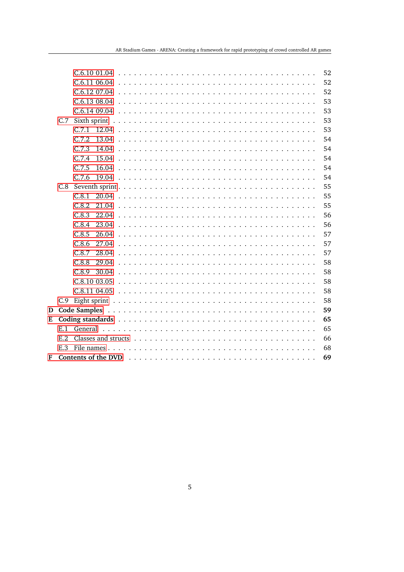|   |     |       |              |  |  |  |  |  |  |  |  |  |  |  |  | 52 |
|---|-----|-------|--------------|--|--|--|--|--|--|--|--|--|--|--|--|----|
|   |     |       |              |  |  |  |  |  |  |  |  |  |  |  |  | 52 |
|   |     |       |              |  |  |  |  |  |  |  |  |  |  |  |  | 52 |
|   |     |       | C.6.1308.04  |  |  |  |  |  |  |  |  |  |  |  |  | 53 |
|   |     |       | C.6.1409.04  |  |  |  |  |  |  |  |  |  |  |  |  | 53 |
|   | C.7 |       |              |  |  |  |  |  |  |  |  |  |  |  |  | 53 |
|   |     | C.7.1 |              |  |  |  |  |  |  |  |  |  |  |  |  | 53 |
|   |     | C.7.2 | 13.04        |  |  |  |  |  |  |  |  |  |  |  |  | 54 |
|   |     | C.7.3 | 14.04        |  |  |  |  |  |  |  |  |  |  |  |  | 54 |
|   |     | C.7.4 | 15.04        |  |  |  |  |  |  |  |  |  |  |  |  | 54 |
|   |     | C.7.5 | 16.04        |  |  |  |  |  |  |  |  |  |  |  |  | 54 |
|   |     | C.7.6 | 19.04        |  |  |  |  |  |  |  |  |  |  |  |  | 54 |
|   |     |       |              |  |  |  |  |  |  |  |  |  |  |  |  | 55 |
|   |     | C.8.1 |              |  |  |  |  |  |  |  |  |  |  |  |  | 55 |
|   |     | C.8.2 |              |  |  |  |  |  |  |  |  |  |  |  |  | 55 |
|   |     | C.8.3 | 22.04        |  |  |  |  |  |  |  |  |  |  |  |  | 56 |
|   |     | C.8.4 | 23.04        |  |  |  |  |  |  |  |  |  |  |  |  | 56 |
|   |     | C.8.5 | 26.04        |  |  |  |  |  |  |  |  |  |  |  |  | 57 |
|   |     | C.8.6 | 27.04        |  |  |  |  |  |  |  |  |  |  |  |  | 57 |
|   |     | C.8.7 | 28.04        |  |  |  |  |  |  |  |  |  |  |  |  | 57 |
|   |     | C.8.8 | 29.04        |  |  |  |  |  |  |  |  |  |  |  |  | 58 |
|   |     | C.8.9 | 30.04        |  |  |  |  |  |  |  |  |  |  |  |  | 58 |
|   |     |       | C.8.10 03.05 |  |  |  |  |  |  |  |  |  |  |  |  | 58 |
|   |     |       | C.8.11 04.05 |  |  |  |  |  |  |  |  |  |  |  |  | 58 |
|   | C.9 |       |              |  |  |  |  |  |  |  |  |  |  |  |  | 58 |
| D |     |       |              |  |  |  |  |  |  |  |  |  |  |  |  | 59 |
| Е |     |       |              |  |  |  |  |  |  |  |  |  |  |  |  | 65 |
|   | E.1 |       |              |  |  |  |  |  |  |  |  |  |  |  |  | 65 |
|   | E.2 |       |              |  |  |  |  |  |  |  |  |  |  |  |  | 66 |
|   | E.3 |       |              |  |  |  |  |  |  |  |  |  |  |  |  | 68 |
| F |     |       |              |  |  |  |  |  |  |  |  |  |  |  |  | 69 |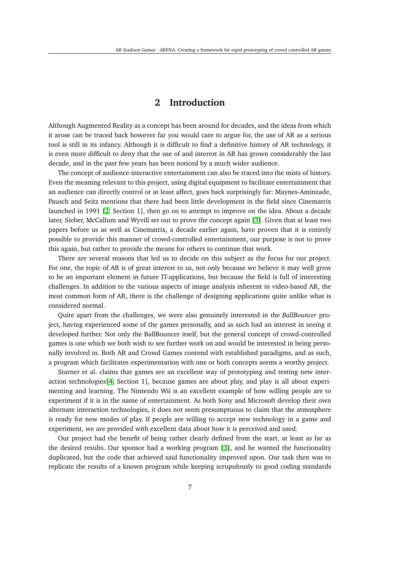### **2 Introduction**

<span id="page-13-0"></span>Although Augmented Reality as a concept has been around for decades, and the ideas from which it arose can be traced back however far you would care to argue for, the use of AR as a serious tool is still in its infancy. Although it is difficult to find a definitive history of AR technology, it is even more difficult to deny that the use of and interest in AR has grown considerably the last decade, and in the past few years has been noticed by a much wider audience.

The concept of audience-interactive entertainment can also be traced into the mists of history. Even the meaning relevant to this project, using digital equipment to facilitate entertainment that an audience can directly control or at least affect, goes back surprisingly far: Maynes-Aminzade, Pausch and Seitz mentions that there had been little development in the field since Cinematrix launched in 1991 [\[2,](#page-37-2) Section 1], then go on to attempt to improve on the idea. About a decade later, Sieber, McCallum and Wyvill set out to prove the concept again [\[3\]](#page-37-3). Given that at least two papers before us as well as Cinematrix, a decade earlier again, have proven that it is entirely possible to provide this manner of crowd-controlled entertainment, our purpose is not to prove this again, but rather to provide the means for others to continue that work.

There are several reasons that led us to decide on this subject as the focus for our project. For one, the topic of AR is of great interest to us, not only because we believe it may well grow to be an important element in future IT-applications, but because the field is full of interesting challenges. In addition to the various aspects of image analysis inherent in video-based AR, the most common form of AR, there is the challenge of designing applications quite unlike what is considered normal.

Quite apart from the challenges, we were also genuinely interested in the *BallBouncer* project, having experienced some of the games personally, and as such had an interest in seeing it developed further. Not only the BallBouncer itself, but the general concept of crowd-controlled games is one which we both wish to see further work on and would be interested in being personally involved in. Both AR and Crowd Games contend with established paradigms, and as such, a program which facilitates experimentation with one or both concepts seems a worthy project.

Starner et al. claims that games are an excellent way of prototyping and testing new interaction technologies[\[4,](#page-37-4) Section 1], because games are about play, and play is all about experimenting and learning. The Nintendo Wii is an excellent example of how willing people are to experiment if it is in the name of entertainment. As both Sony and Microsoft develop their own alternate interaction technologies, it does not seem presumptuous to claim that the atmosphere is ready for new modes of play. If people are willing to accept new technology in a game and experiment, we are provided with excellent data about how it is perceived and used.

Our project had the benefit of being rather clearly defined from the start, at least as far as the desired results. Our sponsor had a working program [\[3\]](#page-37-3), and he wanted the functionality duplicated, but the code that achieved said functionality improved upon. Our task then was to replicate the results of a known program while keeping scrupulously to good coding standards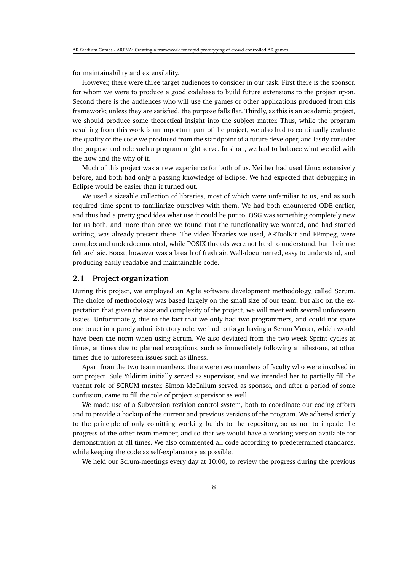for maintainability and extensibility.

However, there were three target audiences to consider in our task. First there is the sponsor, for whom we were to produce a good codebase to build future extensions to the project upon. Second there is the audiences who will use the games or other applications produced from this framework; unless they are satisfied, the purpose falls flat. Thirdly, as this is an academic project, we should produce some theoretical insight into the subject matter. Thus, while the program resulting from this work is an important part of the project, we also had to continually evaluate the quality of the code we produced from the standpoint of a future developer, and lastly consider the purpose and role such a program might serve. In short, we had to balance what we did with the how and the why of it.

Much of this project was a new experience for both of us. Neither had used Linux extensively before, and both had only a passing knowledge of Eclipse. We had expected that debugging in Eclipse would be easier than it turned out.

We used a sizeable collection of libraries, most of which were unfamiliar to us, and as such required time spent to familiarize ourselves with them. We had both enountered ODE earlier, and thus had a pretty good idea what use it could be put to. OSG was something completely new for us both, and more than once we found that the functionality we wanted, and had started writing, was already present there. The video libraries we used, ARToolKit and FFmpeg, were complex and underdocumented, while POSIX threads were not hard to understand, but their use felt archaic. Boost, however was a breath of fresh air. Well-documented, easy to understand, and producing easily readable and maintainable code.

### <span id="page-14-0"></span>**2.1 Project organization**

During this project, we employed an Agile software development methodology, called Scrum. The choice of methodology was based largely on the small size of our team, but also on the expectation that given the size and complexity of the project, we will meet with several unforeseen issues. Unfortunately, due to the fact that we only had two programmers, and could not spare one to act in a purely administratory role, we had to forgo having a Scrum Master, which would have been the norm when using Scrum. We also deviated from the two-week Sprint cycles at times, at times due to planned exceptions, such as immediately following a milestone, at other times due to unforeseen issues such as illness.

Apart from the two team members, there were two members of faculty who were involved in our project. Sule Yildirim initially served as supervisor, and we intended her to partially fill the vacant role of SCRUM master. Simon McCallum served as sponsor, and after a period of some confusion, came to fill the role of project supervisor as well.

We made use of a Subversion revision control system, both to coordinate our coding efforts and to provide a backup of the current and previous versions of the program. We adhered strictly to the principle of only comitting working builds to the repository, so as not to impede the progress of the other team member, and so that we would have a working version available for demonstration at all times. We also commented all code according to predetermined standards, while keeping the code as self-explanatory as possible.

We held our Scrum-meetings every day at 10:00, to review the progress during the previous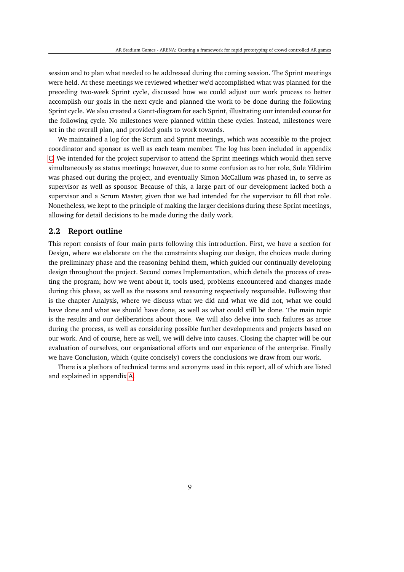session and to plan what needed to be addressed during the coming session. The Sprint meetings were held. At these meetings we reviewed whether we'd accomplished what was planned for the preceding two-week Sprint cycle, discussed how we could adjust our work process to better accomplish our goals in the next cycle and planned the work to be done during the following Sprint cycle. We also created a Gantt-diagram for each Sprint, illustrating our intended course for the following cycle. No milestones were planned within these cycles. Instead, milestones were set in the overall plan, and provided goals to work towards.

We maintained a log for the Scrum and Sprint meetings, which was accessible to the project coordinator and sponsor as well as each team member. The log has been included in appendix [C.](#page--1-1) We intended for the project supervisor to attend the Sprint meetings which would then serve simultaneously as status meetings; however, due to some confusion as to her role, Sule Yildirim was phased out during the project, and eventually Simon McCallum was phased in, to serve as supervisor as well as sponsor. Because of this, a large part of our development lacked both a supervisor and a Scrum Master, given that we had intended for the supervisor to fill that role. Nonetheless, we kept to the principle of making the larger decisions during these Sprint meetings, allowing for detail decisions to be made during the daily work.

### <span id="page-15-0"></span>**2.2 Report outline**

This report consists of four main parts following this introduction. First, we have a section for Design, where we elaborate on the the constraints shaping our design, the choices made during the preliminary phase and the reasoning behind them, which guided our continually developing design throughout the project. Second comes Implementation, which details the process of creating the program; how we went about it, tools used, problems encountered and changes made during this phase, as well as the reasons and reasoning respectively responsible. Following that is the chapter Analysis, where we discuss what we did and what we did not, what we could have done and what we should have done, as well as what could still be done. The main topic is the results and our deliberations about those. We will also delve into such failures as arose during the process, as well as considering possible further developments and projects based on our work. And of course, here as well, we will delve into causes. Closing the chapter will be our evaluation of ourselves, our organisational efforts and our experience of the enterprise. Finally we have Conclusion, which (quite concisely) covers the conclusions we draw from our work.

There is a plethora of technical terms and acronyms used in this report, all of which are listed and explained in appendix [A.](#page--1-1)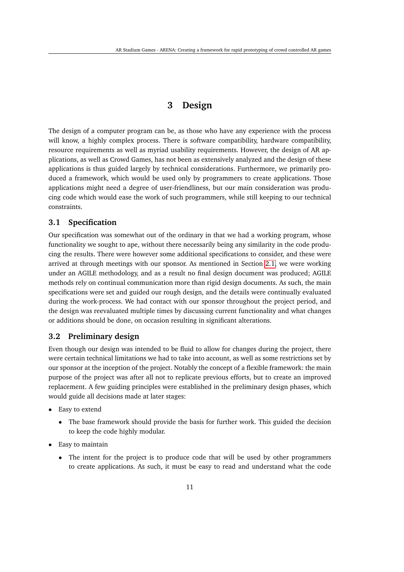### **3 Design**

<span id="page-17-0"></span>The design of a computer program can be, as those who have any experience with the process will know, a highly complex process. There is software compatibility, hardware compatibility, resource requirements as well as myriad usability requirements. However, the design of AR applications, as well as Crowd Games, has not been as extensively analyzed and the design of these applications is thus guided largely by technical considerations. Furthermore, we primarily produced a framework, which would be used only by programmers to create applications. Those applications might need a degree of user-friendliness, but our main consideration was producing code which would ease the work of such programmers, while still keeping to our technical constraints.

### <span id="page-17-1"></span>**3.1 Specification**

Our specification was somewhat out of the ordinary in that we had a working program, whose functionality we sought to ape, without there necessarily being any similarity in the code producing the results. There were however some additional specifications to consider, and these were arrived at through meetings with our sponsor. As mentioned in Section [2.1,](#page-14-0) we were working under an AGILE methodology, and as a result no final design document was produced; AGILE methods rely on continual communication more than rigid design documents. As such, the main specifications were set and guided our rough design, and the details were continually evaluated during the work-process. We had contact with our sponsor throughout the project period, and the design was reevaluated multiple times by discussing current functionality and what changes or additions should be done, on occasion resulting in significant alterations.

### <span id="page-17-2"></span>**3.2 Preliminary design**

Even though our design was intended to be fluid to allow for changes during the project, there were certain technical limitations we had to take into account, as well as some restrictions set by our sponsor at the inception of the project. Notably the concept of a flexible framework: the main purpose of the project was after all not to replicate previous efforts, but to create an improved replacement. A few guiding principles were established in the preliminary design phases, which would guide all decisions made at later stages:

- Easy to extend
	- The base framework should provide the basis for further work. This guided the decision to keep the code highly modular.
- Easy to maintain
	- The intent for the project is to produce code that will be used by other programmers to create applications. As such, it must be easy to read and understand what the code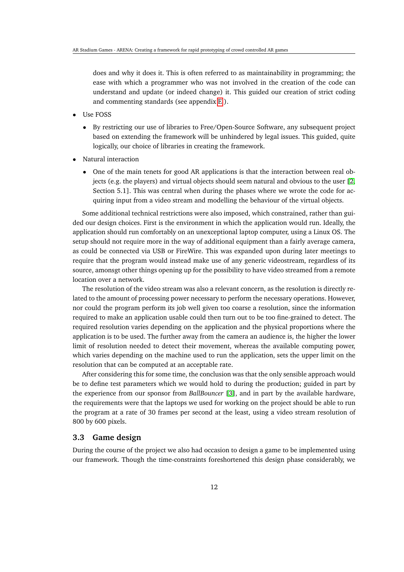does and why it does it. This is often referred to as maintainability in programming; the ease with which a programmer who was not involved in the creation of the code can understand and update (or indeed change) it. This guided our creation of strict coding and commenting standards (see appendix [E](#page--1-1) ).

- Use FOSS
	- By restricting our use of libraries to Free/Open-Source Software, any subsequent project based on extending the framework will be unhindered by legal issues. This guided, quite logically, our choice of libraries in creating the framework.
- Natural interaction
	- One of the main tenets for good AR applications is that the interaction between real objects (e.g. the players) and virtual objects should seem natural and obvious to the user [\[2,](#page-37-2) Section 5.1]. This was central when during the phases where we wrote the code for acquiring input from a video stream and modelling the behaviour of the virtual objects.

Some additional technical restrictions were also imposed, which constrained, rather than guided our design choices. First is the environment in which the application would run. Ideally, the application should run comfortably on an unexceptional laptop computer, using a Linux OS. The setup should not require more in the way of additional equipment than a fairly average camera, as could be connected via USB or FireWire. This was expanded upon during later meetings to require that the program would instead make use of any generic videostream, regardless of its source, amonsgt other things opening up for the possibility to have video streamed from a remote location over a network.

The resolution of the video stream was also a relevant concern, as the resolution is directly related to the amount of processing power necessary to perform the necessary operations. However, nor could the program perform its job well given too coarse a resolution, since the information required to make an application usable could then turn out to be too fine-grained to detect. The required resolution varies depending on the application and the physical proportions where the application is to be used. The further away from the camera an audience is, the higher the lower limit of resolution needed to detect their movement, whereas the available computing power, which varies depending on the machine used to run the application, sets the upper limit on the resolution that can be computed at an acceptable rate.

After considering this for some time, the conclusion was that the only sensible approach would be to define test parameters which we would hold to during the production; guided in part by the experience from our sponsor from *BallBouncer* [\[3\]](#page-37-3), and in part by the available hardware, the requirements were that the laptops we used for working on the project should be able to run the program at a rate of 30 frames per second at the least, using a video stream resolution of 800 by 600 pixels.

#### <span id="page-18-0"></span>**3.3 Game design**

During the course of the project we also had occasion to design a game to be implemented using our framework. Though the time-constraints foreshortened this design phase considerably, we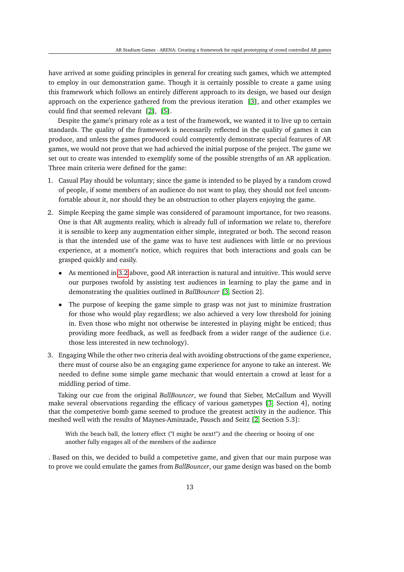have arrived at some guiding principles in general for creating such games, which we attempted to employ in our demonstration game. Though it is certainly possible to create a game using this framework which follows an entirely different approach to its design, we based our design approach on the experience gathered from the previous iteration [\[3\]](#page-37-3), and other examples we could find that seemed relevant [\[2\]](#page-37-2), [\[5\]](#page-37-5).

Despite the game's primary role as a test of the framework, we wanted it to live up to certain standards. The quality of the framework is necessarily reflected in the quality of games it can produce, and unless the games produced could competently demonstrate special features of AR games, we would not prove that we had achieved the initial purpose of the project. The game we set out to create was intended to exemplify some of the possible strengths of an AR application. Three main criteria were defined for the game:

- <span id="page-19-1"></span>1. Casual Play should be voluntary; since the game is intended to be played by a random crowd of people, if some members of an audience do not want to play, they should not feel uncomfortable about it, nor should they be an obstruction to other players enjoying the game.
- <span id="page-19-0"></span>2. Simple Keeping the game simple was considered of paramount importance, for two reasons. One is that AR augments reality, which is already full of information we relate to, therefore it is sensible to keep any augmentation either simple, integrated or both. The second reason is that the intended use of the game was to have test audiences with little or no previous experience, at a moment's notice, which requires that both interactions and goals can be grasped quickly and easily.
	- As mentioned in [3.2](#page-17-2) above, good AR interaction is natural and intuitive. This would serve our purposes twofold by assisting test audiences in learning to play the game and in demonstrating the qualities outlined in *BallBouncer* [\[3,](#page-37-3) Section 2].
	- The purpose of keeping the game simple to grasp was not just to minimize frustration for those who would play regardless; we also achieved a very low threshold for joining in. Even those who might not otherwise be interested in playing might be enticed; thus providing more feedback, as well as feedback from a wider range of the audience (i.e. those less interested in new technology).
- 3. Engaging While the other two criteria deal with avoiding obstructions of the game experience, there must of course also be an engaging game experience for anyone to take an interest. We needed to define some simple game mechanic that would entertain a crowd at least for a middling period of time.

Taking our cue from the original *BallBouncer*, we found that Sieber, McCallum and Wyvill make several observations regarding the efficacy of various gametypes [\[3,](#page-37-3) Section 4], noting that the competetive bomb game seemed to produce the greatest activity in the audience. This meshed well with the results of Maynes-Aminzade, Pausch and Seitz [\[2,](#page-37-2) Section 5.3]:

With the beach ball, the lottery effect ("I might be next!") and the cheering or booing of one another fully engages all of the members of the audience

. Based on this, we decided to build a competetive game, and given that our main purpose was to prove we could emulate the games from *BallBouncer*, our game design was based on the bomb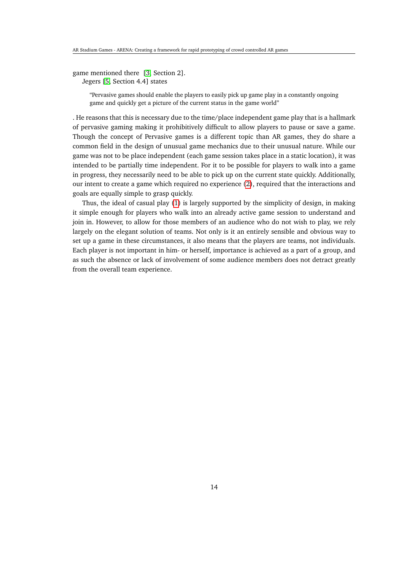game mentioned there [\[3,](#page-37-3) Section 2]. Jegers [\[5,](#page-37-5) Section 4.4] states

"Pervasive games should enable the players to easily pick up game play in a constantly ongoing

game and quickly get a picture of the current status in the game world"

. He reasons that this is necessary due to the time/place independent game play that is a hallmark of pervasive gaming making it prohibitively difficult to allow players to pause or save a game. Though the concept of Pervasive games is a different topic than AR games, they do share a common field in the design of unusual game mechanics due to their unusual nature. While our game was not to be place independent (each game session takes place in a static location), it was intended to be partially time independent. For it to be possible for players to walk into a game in progress, they necessarily need to be able to pick up on the current state quickly. Additionally, our intent to create a game which required no experience [\(2\)](#page-19-0), required that the interactions and goals are equally simple to grasp quickly.

Thus, the ideal of casual play [\(1\)](#page-19-1) is largely supported by the simplicity of design, in making it simple enough for players who walk into an already active game session to understand and join in. However, to allow for those members of an audience who do not wish to play, we rely largely on the elegant solution of teams. Not only is it an entirely sensible and obvious way to set up a game in these circumstances, it also means that the players are teams, not individuals. Each player is not important in him- or herself, importance is achieved as a part of a group, and as such the absence or lack of involvement of some audience members does not detract greatly from the overall team experience.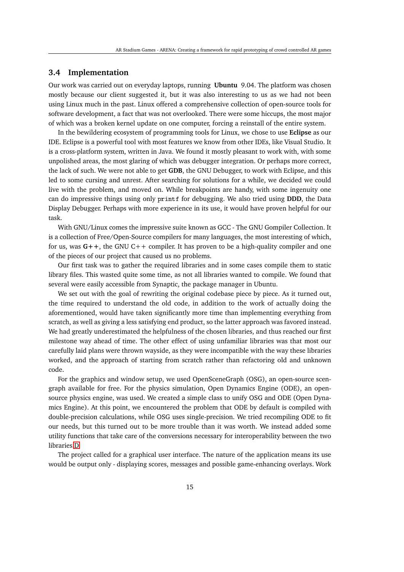### <span id="page-21-0"></span>**3.4 Implementation**

Our work was carried out on everyday laptops, running **Ubuntu** 9.04. The platform was chosen mostly because our client suggested it, but it was also interesting to us as we had not been using Linux much in the past. Linux offered a comprehensive collection of open-source tools for software development, a fact that was not overlooked. There were some hiccups, the most major of which was a broken kernel update on one computer, forcing a reinstall of the entire system.

In the bewildering ecosystem of programming tools for Linux, we chose to use **Eclipse** as our IDE. Eclipse is a powerful tool with most features we know from other IDEs, like Visual Studio. It is a cross-platform system, written in Java. We found it mostly pleasant to work with, with some unpolished areas, the most glaring of which was debugger integration. Or perhaps more correct, the lack of such. We were not able to get **GDB**, the GNU Debugger, to work with Eclipse, and this led to some cursing and unrest. After searching for solutions for a while, we decided we could live with the problem, and moved on. While breakpoints are handy, with some ingenuity one can do impressive things using only printf for debugging. We also tried using **DDD**, the Data Display Debugger. Perhaps with more experience in its use, it would have proven helpful for our task.

With GNU/Linux comes the impressive suite known as GCC - The GNU Gompiler Collection. It is a collection of Free/Open-Source compilers for many languages, the most interesting of which, for us, was **G++**, the GNU C++ compiler. It has proven to be a high-quality compiler and one of the pieces of our project that caused us no problems.

Our first task was to gather the required libraries and in some cases compile them to static library files. This wasted quite some time, as not all libraries wanted to compile. We found that several were easily accessible from Synaptic, the package manager in Ubuntu.

We set out with the goal of rewriting the original codebase piece by piece. As it turned out, the time required to understand the old code, in addition to the work of actually doing the aforementioned, would have taken significantly more time than implementing everything from scratch, as well as giving a less satisfying end product, so the latter approach was favored instead. We had greatly underestimated the helpfulness of the chosen libraries, and thus reached our first milestone way ahead of time. The other effect of using unfamiliar libraries was that most our carefully laid plans were thrown wayside, as they were incompatible with the way these libraries worked, and the approach of starting from scratch rather than refactoring old and unknown code.

For the graphics and window setup, we used OpenSceneGraph (OSG), an open-source scengraph available for free. For the physics simulation, Open Dynamics Engine (ODE), an opensource physics engine, was used. We created a simple class to unify OSG and ODE (Open Dynamics Engine). At this point, we encountered the problem that ODE by default is compiled with double-precision calculations, while OSG uses single-precision. We tried recompiling ODE to fit our needs, but this turned out to be more trouble than it was worth. We instead added some utility functions that take care of the conversions necessary for interoperability between the two libraries[.D](#page--1-1)

The project called for a graphical user interface. The nature of the application means its use would be output only - displaying scores, messages and possible game-enhancing overlays. Work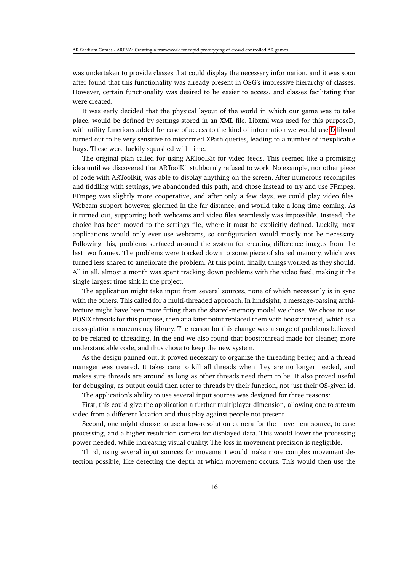was undertaken to provide classes that could display the necessary information, and it was soon after found that this functionality was already present in OSG's impressive hierarchy of classes. However, certain functionality was desired to be easier to access, and classes facilitating that were created.

It was early decided that the physical layout of the world in which our game was to take place, would be defined by settings stored in an XML file. Libxml was used for this purpos[eD,](#page--1-1) with utility functions added for ease of access to the kind of information we would use[.D](#page--1-1) libxml turned out to be very sensitive to misformed XPath queries, leading to a number of inexplicable bugs. These were luckily squashed with time.

The original plan called for using ARToolKit for video feeds. This seemed like a promising idea until we discovered that ARToolKit stubbornly refused to work. No example, nor other piece of code with ARToolKit, was able to display anything on the screen. After numerous recompiles and fiddling with settings, we abandonded this path, and chose instead to try and use FFmpeg. FFmpeg was slightly more cooperative, and after only a few days, we could play video files. Webcam support however, gleamed in the far distance, and would take a long time coming. As it turned out, supporting both webcams and video files seamlessly was impossible. Instead, the choice has been moved to the settings file, where it must be explicitly defined. Luckily, most applications would only ever use webcams, so configuration would mostly not be necessary. Following this, problems surfaced around the system for creating difference images from the last two frames. The problems were tracked down to some piece of shared memory, which was turned less shared to ameliorate the problem. At this point, finally, things worked as they should. All in all, almost a month was spent tracking down problems with the video feed, making it the single largest time sink in the project.

The application might take input from several sources, none of which necessarily is in sync with the others. This called for a multi-threaded approach. In hindsight, a message-passing architecture might have been more fitting than the shared-memory model we chose. We chose to use POSIX threads for this purpose, then at a later point replaced them with boost::thread, which is a cross-platform concurrency library. The reason for this change was a surge of problems believed to be related to threading. In the end we also found that boost::thread made for cleaner, more understandable code, and thus chose to keep the new system.

As the design panned out, it proved necessary to organize the threading better, and a thread manager was created. It takes care to kill all threads when they are no longer needed, and makes sure threads are around as long as other threads need them to be. It also proved useful for debugging, as output could then refer to threads by their function, not just their OS-given id.

The application's ability to use several input sources was designed for three reasons:

First, this could give the application a further multiplayer dimension, allowing one to stream video from a different location and thus play against people not present.

Second, one might choose to use a low-resolution camera for the movement source, to ease processing, and a higher-resolution camera for displayed data. This would lower the processing power needed, while increasing visual quality. The loss in movement precision is negligible.

Third, using several input sources for movement would make more complex movement detection possible, like detecting the depth at which movement occurs. This would then use the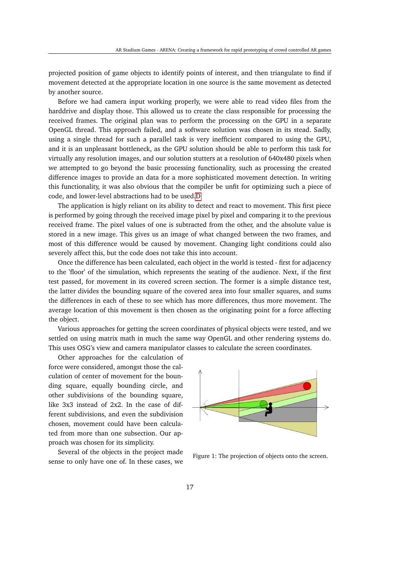projected position of game objects to identify points of interest, and then triangulate to find if movement detected at the appropriate location in one source is the same movement as detected by another source.

Before we had camera input working properly, we were able to read video files from the harddrive and display those. This allowed us to create the class responsible for processing the received frames. The original plan was to perform the processing on the GPU in a separate OpenGL thread. This approach failed, and a software solution was chosen in its stead. Sadly, using a single thread for such a parallel task is very inefficient compared to using the GPU, and it is an unpleasant bottleneck, as the GPU solution should be able to perform this task for virtually any resolution images, and our solution stutters at a resolution of 640x480 pixels when we attempted to go beyond the basic processing functionality, such as processing the created difference images to provide an data for a more sophisticated movement detection. In writing this functionality, it was also obvious that the compiler be unfit for optimizing such a piece of code, and lower-level abstractions had to be used[.D](#page--1-1)

The application is higly reliant on its ability to detect and react to movement. This first piece is performed by going through the received image pixel by pixel and comparing it to the previous received frame. The pixel values of one is subtracted from the other, and the absolute value is stored in a new image. This gives us an image of what changed between the two frames, and most of this difference would be caused by movement. Changing light conditions could also severely affect this, but the code does not take this into account.

Once the difference has been calculated, each object in the world is tested - first for adjacency to the 'floor' of the simulation, which represents the seating of the audience. Next, if the first test passed, for movement in its covered screen section. The former is a simple distance test, the latter divides the bounding square of the covered area into four smaller squares, and sums the differences in each of these to see which has more differences, thus more movement. The average location of this movement is then chosen as the originating point for a force affecting the object.

Various approaches for getting the screen coordinates of physical objects were tested, and we settled on using matrix math in much the same way OpenGL and other rendering systems do. This uses OSG's view and camera manipulator classes to calculate the screen coordinates.

Other approaches for the calculation of force were considered, amongst those the calculation of center of movement for the bounding square, equally bounding circle, and other subdivisions of the bounding square, like 3x3 instead of 2x2. In the case of different subdivisions, and even the subdivision chosen, movement could have been calculated from more than one subsection. Our approach was chosen for its simplicity.

Several of the objects in the project made sense to only have one of. In these cases, we



Figure 1: The projection of objects onto the screen.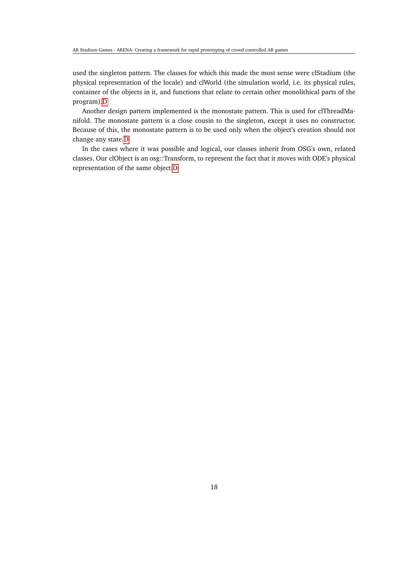used the singleton pattern. The classes for which this made the most sense were clStadium (the physical representation of the locale) and clWorld (the simulation world, i.e. its physical rules, container of the objects in it, and functions that relate to certain other monolithical parts of the program)[.D](#page--1-1)

Another design pattern implemented is the monostate pattern. This is used for clThreadManifold. The monostate pattern is a close cousin to the singleton, except it uses no constructor. Because of this, the monostate pattern is to be used only when the object's creation should not change any state[.D](#page--1-1)

In the cases where it was possible and logical, our classes inherit from OSG's own, related classes. Our clObject is an osg::Transform, to represent the fact that it moves with ODE's physical representation of the same object[.D](#page--1-1)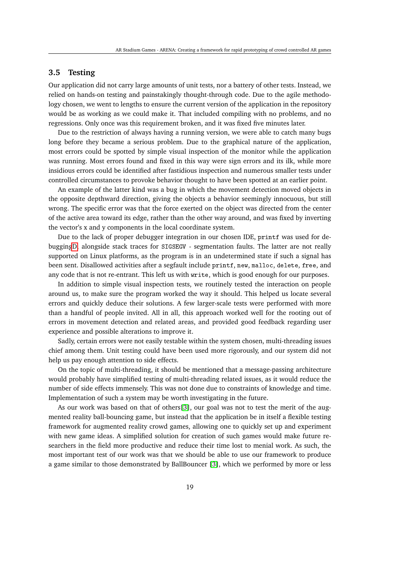### <span id="page-25-0"></span>**3.5 Testing**

Our application did not carry large amounts of unit tests, nor a battery of other tests. Instead, we relied on hands-on testing and painstakingly thought-through code. Due to the agile methodology chosen, we went to lengths to ensure the current version of the application in the repository would be as working as we could make it. That included compiling with no problems, and no regressions. Only once was this requirement broken, and it was fixed five minutes later.

Due to the restriction of always having a running version, we were able to catch many bugs long before they became a serious problem. Due to the graphical nature of the application, most errors could be spotted by simple visual inspection of the monitor while the application was running. Most errors found and fixed in this way were sign errors and its ilk, while more insidious errors could be identified after fastidious inspection and numerous smaller tests under controlled circumstances to provoke behavior thought to have been spotted at an earlier point.

An example of the latter kind was a bug in which the movement detection moved objects in the opposite depthward direction, giving the objects a behavior seemingly innocuous, but still wrong. The specific error was that the force exerted on the object was directed from the center of the active area toward its edge, rather than the other way around, and was fixed by inverting the vector's x and y components in the local coordinate system.

Due to the lack of proper debugger integration in our chosen IDE, printf was used for debuggin[gD,](#page--1-1) alongside stack traces for SIGSEGV - segmentation faults. The latter are not really supported on Linux platforms, as the program is in an undetermined state if such a signal has been sent. Disallowed activities after a segfault include printf, new, malloc, delete, free, and any code that is not re-entrant. This left us with write, which is good enough for our purposes.

In addition to simple visual inspection tests, we routinely tested the interaction on people around us, to make sure the program worked the way it should. This helped us locate several errors and quickly deduce their solutions. A few larger-scale tests were performed with more than a handful of people invited. All in all, this approach worked well for the rooting out of errors in movement detection and related areas, and provided good feedback regarding user experience and possible alterations to improve it.

Sadly, certain errors were not easily testable within the system chosen, multi-threading issues chief among them. Unit testing could have been used more rigorously, and our system did not help us pay enough attention to side effects.

On the topic of multi-threading, it should be mentioned that a message-passing architecture would probably have simplified testing of multi-threading related issues, as it would reduce the number of side effects immensely. This was not done due to constraints of knowledge and time. Implementation of such a system may be worth investigating in the future.

As our work was based on that of others[\[3\]](#page-37-3), our goal was not to test the merit of the augmented reality ball-bouncing game, but instead that the application be in itself a flexible testing framework for augmented reality crowd games, allowing one to quickly set up and experiment with new game ideas. A simplified solution for creation of such games would make future researchers in the field more productive and reduce their time lost to menial work. As such, the most important test of our work was that we should be able to use our framework to produce a game similar to those demonstrated by BallBouncer [\[3\]](#page-37-3), which we performed by more or less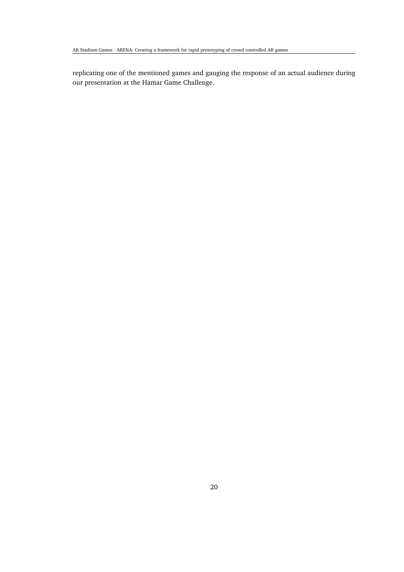replicating one of the mentioned games and gauging the response of an actual audience during our presentation at the Hamar Game Challenge.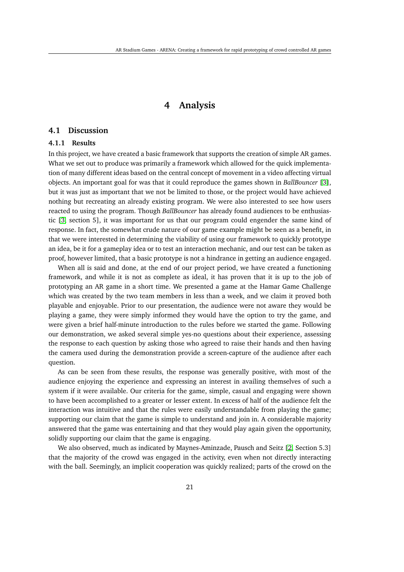### **4 Analysis**

### <span id="page-27-1"></span><span id="page-27-0"></span>**4.1 Discussion**

#### <span id="page-27-2"></span>**4.1.1 Results**

In this project, we have created a basic framework that supports the creation of simple AR games. What we set out to produce was primarily a framework which allowed for the quick implementation of many different ideas based on the central concept of movement in a video affecting virtual objects. An important goal for was that it could reproduce the games shown in *BallBouncer* [\[3\]](#page-37-3), but it was just as important that we not be limited to those, or the project would have achieved nothing but recreating an already existing program. We were also interested to see how users reacted to using the program. Though *BallBouncer* has already found audiences to be enthusiastic [\[3,](#page-37-3) section 5], it was important for us that our program could engender the same kind of response. In fact, the somewhat crude nature of our game example might be seen as a benefit, in that we were interested in determining the viability of using our framework to quickly prototype an idea, be it for a gameplay idea or to test an interaction mechanic, and our test can be taken as proof, however limited, that a basic prototype is not a hindrance in getting an audience engaged.

When all is said and done, at the end of our project period, we have created a functioning framework, and while it is not as complete as ideal, it has proven that it is up to the job of prototyping an AR game in a short time. We presented a game at the Hamar Game Challenge which was created by the two team members in less than a week, and we claim it proved both playable and enjoyable. Prior to our presentation, the audience were not aware they would be playing a game, they were simply informed they would have the option to try the game, and were given a brief half-minute introduction to the rules before we started the game. Following our demonstration, we asked several simple yes-no questions about their experience, assessing the response to each question by asking those who agreed to raise their hands and then having the camera used during the demonstration provide a screen-capture of the audience after each question.

As can be seen from these results, the response was generally positive, with most of the audience enjoying the experience and expressing an interest in availing themselves of such a system if it were available. Our criteria for the game, simple, casual and engaging were shown to have been accomplished to a greater or lesser extent. In excess of half of the audience felt the interaction was intuitive and that the rules were easily understandable from playing the game; supporting our claim that the game is simple to understand and join in. A considerable majority answered that the game was entertaining and that they would play again given the opportunity, solidly supporting our claim that the game is engaging.

We also observed, much as indicated by Maynes-Aminzade, Pausch and Seitz [\[2,](#page-37-2) Section 5.3] that the majority of the crowd was engaged in the activity, even when not directly interacting with the ball. Seemingly, an implicit cooperation was quickly realized; parts of the crowd on the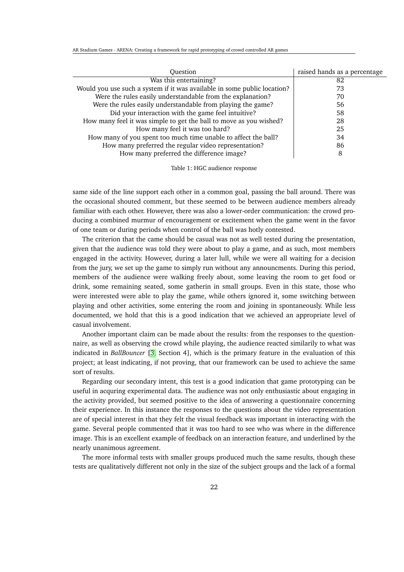AR Stadium Games - ARENA: Creating a framework for rapid prototyping of crowd controlled AR games

| Ouestion                                                                 | raised hands as a percentage |
|--------------------------------------------------------------------------|------------------------------|
| Was this entertaining?                                                   | 82                           |
| Would you use such a system if it was available in some public location? | 73                           |
| Were the rules easily understandable from the explanation?               | 70                           |
| Were the rules easily understandable from playing the game?              | 56                           |
| Did your interaction with the game feel intuitive?                       | 58                           |
| How many feel it was simple to get the ball to move as you wished?       | 28                           |
| How many feel it was too hard?                                           | 25                           |
| How many of you spent too much time unable to affect the ball?           | 34                           |
| How many preferred the regular video representation?                     | 86                           |
| How many preferred the difference image?                                 | 8                            |
|                                                                          |                              |

Table 1: HGC audience response

same side of the line support each other in a common goal, passing the ball around. There was the occasional shouted comment, but these seemed to be between audience members already familiar with each other. However, there was also a lower-order communication: the crowd producing a combined murmur of encouragement or excitement when the game went in the favor of one team or during periods when control of the ball was hotly contested.

The criterion that the came should be casual was not as well tested during the presentation, given that the audience was told they were about to play a game, and as such, most members engaged in the activity. However, during a later lull, while we were all waiting for a decision from the jury, we set up the game to simply run without any announcments. During this period, members of the audience were walking freely about, some leaving the room to get food or drink, some remaining seated, some gatherin in small groups. Even in this state, those who were interested were able to play the game, while others ignored it, some switching between playing and other activities, some entering the room and joining in spontaneously. While less documented, we hold that this is a good indication that we achieved an appropriate level of casual involvement.

Another important claim can be made about the results: from the responses to the questionnaire, as well as observing the crowd while playing, the audience reacted similarily to what was indicated in *BallBouncer* [\[3,](#page-37-3) Section 4], which is the primary feature in the evaluation of this project; at least indicating, if not proving, that our framework can be used to achieve the same sort of results.

Regarding our secondary intent, this test is a good indication that game prototyping can be useful in acquring experimental data. The audience was not only enthusiastic about engaging in the activity provided, but seemed positive to the idea of answering a questionnaire concerning their experience. In this instance the responses to the questions about the video representation are of special interest in that they felt the visual feedback was important in interacting with the game. Several people commented that it was too hard to see who was where in the difference image. This is an excellent example of feedback on an interaction feature, and underlined by the nearly unanimous agreement.

The more informal tests with smaller groups produced much the same results, though these tests are qualitatively different not only in the size of the subject groups and the lack of a formal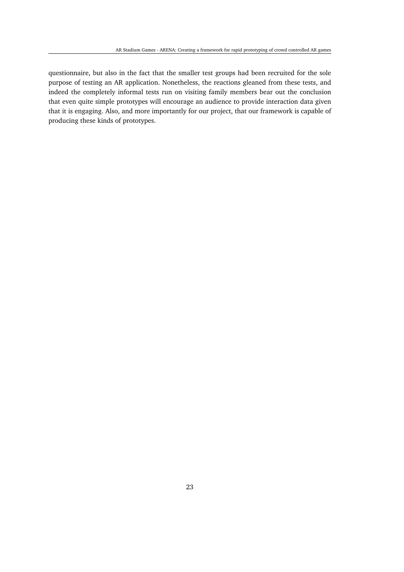questionnaire, but also in the fact that the smaller test groups had been recruited for the sole purpose of testing an AR application. Nonetheless, the reactions gleaned from these tests, and indeed the completely informal tests run on visiting family members bear out the conclusion that even quite simple prototypes will encourage an audience to provide interaction data given that it is engaging. Also, and more importantly for our project, that our framework is capable of producing these kinds of prototypes.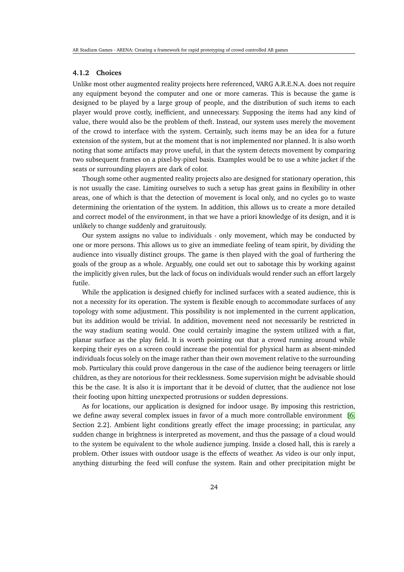### <span id="page-30-0"></span>**4.1.2 Choices**

Unlike most other augmented reality projects here referenced, VARG A.R.E.N.A. does not require any equipment beyond the computer and one or more cameras. This is because the game is designed to be played by a large group of people, and the distribution of such items to each player would prove costly, inefficient, and unnecessary. Supposing the items had any kind of value, there would also be the problem of theft. Instead, our system uses merely the movement of the crowd to interface with the system. Certainly, such items may be an idea for a future extension of the system, but at the moment that is not implemented nor planned. It is also worth noting that some artifacts may prove useful, in that the system detects movement by comparing two subsequent frames on a pixel-by-pixel basis. Examples would be to use a white jacket if the seats or surrounding players are dark of color.

Though some other augmented reality projects also are designed for stationary operation, this is not usually the case. Limiting ourselves to such a setup has great gains in flexibility in other areas, one of which is that the detection of movement is local only, and no cycles go to waste determining the orientation of the system. In addition, this allows us to create a more detailed and correct model of the environment, in that we have a priori knowledge of its design, and it is unlikely to change suddenly and gratuitously.

Our system assigns no value to individuals - only movement, which may be conducted by one or more persons. This allows us to give an immediate feeling of team spirit, by dividing the audience into visually distinct groups. The game is then played with the goal of furthering the goals of the group as a whole. Arguably, one could set out to sabotage this by working against the implicitly given rules, but the lack of focus on individuals would render such an effort largely futile.

While the application is designed chiefly for inclined surfaces with a seated audience, this is not a necessity for its operation. The system is flexible enough to accommodate surfaces of any topology with some adjustment. This possibility is not implemented in the current application, but its addition would be trivial. In addition, movement need not necessarily be restricted in the way stadium seating would. One could certainly imagine the system utilized with a flat, planar surface as the play field. It is worth pointing out that a crowd running around while keeping their eyes on a screen could increase the potential for physical harm as absent-minded individuals focus solely on the image rather than their own movement relative to the surrounding mob. Particulary this could prove dangerous in the case of the audience being teenagers or little children, as they are notorious for their recklessness. Some supervision might be advisable should this be the case. It is also it is important that it be devoid of clutter, that the audience not lose their footing upon hitting unexpected protrusions or sudden depressions.

As for locations, our application is designed for indoor usage. By imposing this restriction, we define away several complex issues in favor of a much more controllable environment [\[6,](#page-37-6) Section 2.2]. Ambient light conditions greatly effect the image processing; in particular, any sudden change in brightness is interpreted as movement, and thus the passage of a cloud would to the system be equivalent to the whole audience jumping. Inside a closed hall, this is rarely a problem. Other issues with outdoor usage is the effects of weather. As video is our only input, anything disturbing the feed will confuse the system. Rain and other precipitation might be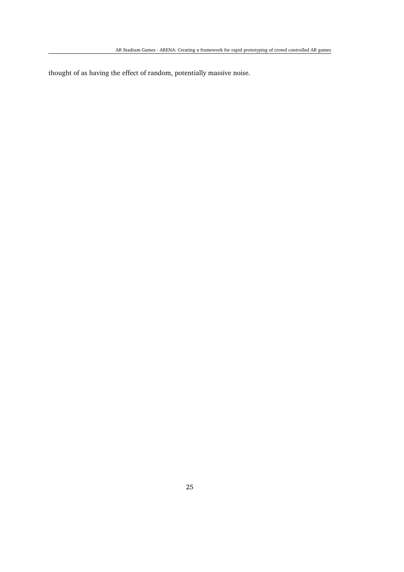thought of as having the effect of random, potentially massive noise.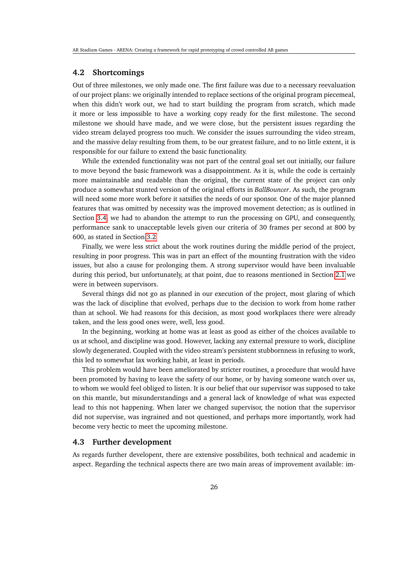### <span id="page-32-0"></span>**4.2 Shortcomings**

Out of three milestones, we only made one. The first failure was due to a necessary reevaluation of our project plans: we originally intended to replace sections of the original program piecemeal, when this didn't work out, we had to start building the program from scratch, which made it more or less impossible to have a working copy ready for the first milestone. The second milestone we should have made, and we were close, but the persistent issues regarding the video stream delayed progress too much. We consider the issues surrounding the video stream, and the massive delay resulting from them, to be our greatest failure, and to no little extent, it is responsible for our failure to extend the basic functionality.

While the extended functionality was not part of the central goal set out initially, our failure to move beyond the basic framework was a disappointment. As it is, while the code is certainly more maintainable and readable than the original, the current state of the project can only produce a somewhat stunted version of the original efforts in *BallBouncer*. As such, the program will need some more work before it satsifies the needs of our sponsor. One of the major planned features that was omitted by necessity was the improved movement detection; as is outlined in Section [3.4,](#page-21-0) we had to abandon the attempt to run the processing on GPU, and consequently, performance sank to unacceptable levels given our criteria of 30 frames per second at 800 by 600, as stated in Section [3.2](#page-17-2)

Finally, we were less strict about the work routines during the middle period of the project, resulting in poor progress. This was in part an effect of the mounting frustration with the video issues, but also a cause for prolonging them. A strong supervisor would have been invaluable during this period, but unfortunately, at that point, due to reasons mentioned in Section [2.1](#page-14-0) we were in between supervisors.

Several things did not go as planned in our execution of the project, most glaring of which was the lack of discipline that evolved, perhaps due to the decision to work from home rather than at school. We had reasons for this decision, as most good workplaces there were already taken, and the less good ones were, well, less good.

In the beginning, working at home was at least as good as either of the choices available to us at school, and discipline was good. However, lacking any external pressure to work, discipline slowly degenerated. Coupled with the video stream's persistent stubbornness in refusing to work, this led to somewhat lax working habit, at least in periods.

This problem would have been ameliorated by stricter routines, a procedure that would have been promoted by having to leave the safety of our home, or by having someone watch over us, to whom we would feel obliged to listen. It is our belief that our supervisor was supposed to take on this mantle, but misunderstandings and a general lack of knowledge of what was expected lead to this not happening. When later we changed supervisor, the notion that the supervisor did not supervise, was ingrained and not questioned, and perhaps more importantly, work had become very hectic to meet the upcoming milestone.

### <span id="page-32-1"></span>**4.3 Further development**

As regards further developent, there are extensive possibilites, both technical and academic in aspect. Regarding the technical aspects there are two main areas of improvement available: im-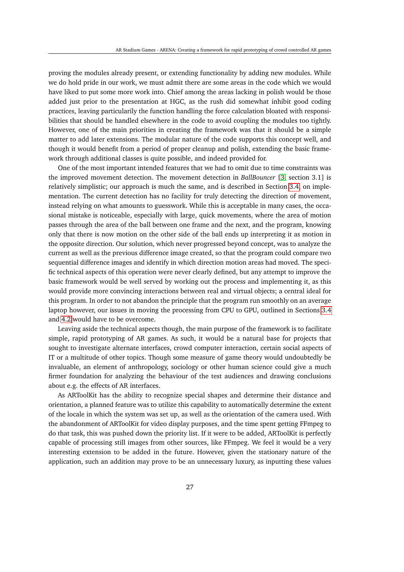proving the modules already present, or extending functionality by adding new modules. While we do hold pride in our work, we must admit there are some areas in the code which we would have liked to put some more work into. Chief among the areas lacking in polish would be those added just prior to the presentation at HGC, as the rush did somewhat inhibit good coding practices, leaving particularily the function handling the force calculation bloated with responsibilities that should be handled elsewhere in the code to avoid coupling the modules too tightly. However, one of the main priorities in creating the framework was that it should be a simple matter to add later extensions. The modular nature of the code supports this concept well, and though it would benefit from a period of proper cleanup and polish, extending the basic framework through additional classes is quite possible, and indeed provided for.

One of the most important intended features that we had to omit due to time constraints was the improved movement detection. The movement detection in *BallBouncer* [\[3,](#page-37-3) section 3.1] is relatively simplistic; our approach is much the same, and is described in Section [3.4,](#page-21-0) on implementation. The current detection has no facility for truly detecting the direction of movement, instead relying on what amounts to guesswork. While this is acceptable in many cases, the occasional mistake is noticeable, especially with large, quick movements, where the area of motion passes through the area of the ball between one frame and the next, and the program, knowing only that there is now motion on the other side of the ball ends up interpreting it as motion in the opposite direction. Our solution, which never progressed beyond concept, was to analyze the current as well as the previous difference image created, so that the program could compare two sequential difference images and identify in which direction motion areas had moved. The specific technical aspects of this operation were never clearly defined, but any attempt to improve the basic framework would be well served by working out the process and implementing it, as this would provide more convincing interactions between real and virtual objects; a central ideal for this program. In order to not abandon the principle that the program run smoothly on an average laptop however, our issues in moving the processing from CPU to GPU, outlined in Sections [3.4](#page-21-0) and [4.2](#page-32-0) would have to be overcome.

Leaving aside the technical aspects though, the main purpose of the framework is to facilitate simple, rapid prototyping of AR games. As such, it would be a natural base for projects that sought to investigate alternate interfaces, crowd computer interaction, certain social aspects of IT or a multitude of other topics. Though some measure of game theory would undoubtedly be invaluable, an element of anthropology, sociology or other human science could give a much firmer foundation for analyzing the behaviour of the test audiences and drawing conclusions about e.g. the effects of AR interfaces.

As ARToolKit has the ability to recognize special shapes and determine their distance and orientation, a planned feature was to utilize this capability to automatically determine the extent of the locale in which the system was set up, as well as the orientation of the camera used. With the abandonment of ARToolKit for video display purposes, and the time spent getting FFmpeg to do that task, this was pushed down the priority list. If it were to be added, ARToolKit is perfectly capable of processing still images from other sources, like FFmpeg. We feel it would be a very interesting extension to be added in the future. However, given the stationary nature of the application, such an addition may prove to be an unnecessary luxury, as inputting these values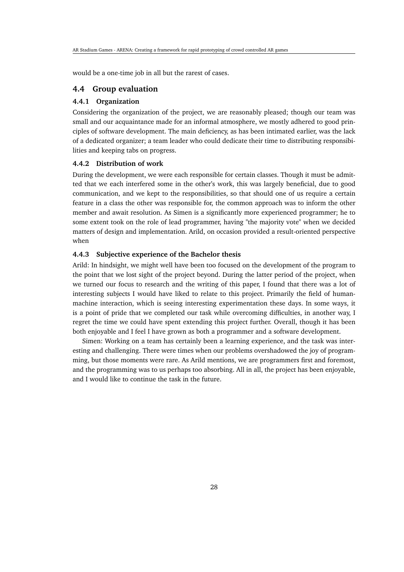would be a one-time job in all but the rarest of cases.

### <span id="page-34-0"></span>**4.4 Group evaluation**

#### <span id="page-34-1"></span>**4.4.1 Organization**

Considering the organization of the project, we are reasonably pleased; though our team was small and our acquaintance made for an informal atmosphere, we mostly adhered to good principles of software development. The main deficiency, as has been intimated earlier, was the lack of a dedicated organizer; a team leader who could dedicate their time to distributing responsibilities and keeping tabs on progress.

#### <span id="page-34-2"></span>**4.4.2 Distribution of work**

During the development, we were each responsible for certain classes. Though it must be admitted that we each interfered some in the other's work, this was largely beneficial, due to good communication, and we kept to the responsibilities, so that should one of us require a certain feature in a class the other was responsible for, the common approach was to inform the other member and await resolution. As Simen is a significantly more experienced programmer; he to some extent took on the role of lead programmer, having "the majority vote" when we decided matters of design and implementation. Arild, on occasion provided a result-oriented perspective when

### <span id="page-34-3"></span>**4.4.3 Subjective experience of the Bachelor thesis**

Arild: In hindsight, we might well have been too focused on the development of the program to the point that we lost sight of the project beyond. During the latter period of the project, when we turned our focus to research and the writing of this paper, I found that there was a lot of interesting subjects I would have liked to relate to this project. Primarily the field of humanmachine interaction, which is seeing interesting experimentation these days. In some ways, it is a point of pride that we completed our task while overcoming difficulties, in another way, I regret the time we could have spent extending this project further. Overall, though it has been both enjoyable and I feel I have grown as both a programmer and a software development.

Simen: Working on a team has certainly been a learning experience, and the task was interesting and challenging. There were times when our problems overshadowed the joy of programming, but those moments were rare. As Arild mentions, we are programmers first and foremost, and the programming was to us perhaps too absorbing. All in all, the project has been enjoyable, and I would like to continue the task in the future.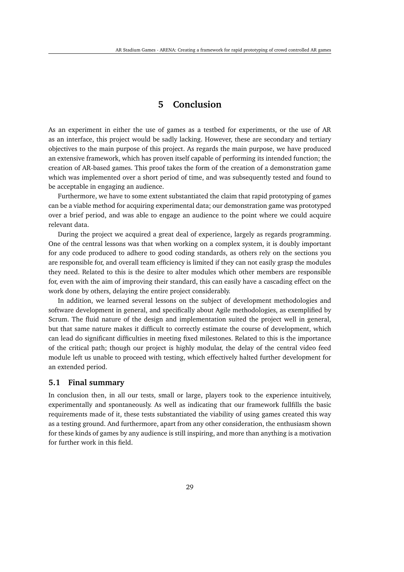### **5 Conclusion**

<span id="page-35-0"></span>As an experiment in either the use of games as a testbed for experiments, or the use of AR as an interface, this project would be sadly lacking. However, these are secondary and tertiary objectives to the main purpose of this project. As regards the main purpose, we have produced an extensive framework, which has proven itself capable of performing its intended function; the creation of AR-based games. This proof takes the form of the creation of a demonstration game which was implemented over a short period of time, and was subsequently tested and found to be acceptable in engaging an audience.

Furthermore, we have to some extent substantiated the claim that rapid prototyping of games can be a viable method for acquiring experimental data; our demonstration game was prototyped over a brief period, and was able to engage an audience to the point where we could acquire relevant data.

During the project we acquired a great deal of experience, largely as regards programming. One of the central lessons was that when working on a complex system, it is doubly important for any code produced to adhere to good coding standards, as others rely on the sections you are responsible for, and overall team efficiency is limited if they can not easily grasp the modules they need. Related to this is the desire to alter modules which other members are responsible for, even with the aim of improving their standard, this can easily have a cascading effect on the work done by others, delaying the entire project considerably.

In addition, we learned several lessons on the subject of development methodologies and software development in general, and specifically about Agile methodologies, as exemplified by Scrum. The fluid nature of the design and implementation suited the project well in general, but that same nature makes it difficult to correctly estimate the course of development, which can lead do significant difficulties in meeting fixed milestones. Related to this is the importance of the critical path; though our project is highly modular, the delay of the central video feed module left us unable to proceed with testing, which effectively halted further development for an extended period.

### <span id="page-35-1"></span>**5.1 Final summary**

In conclusion then, in all our tests, small or large, players took to the experience intuitively, experimentally and spontaneously. As well as indicating that our framework fullfills the basic requirements made of it, these tests substantiated the viability of using games created this way as a testing ground. And furthermore, apart from any other consideration, the enthusiasm shown for these kinds of games by any audience is still inspiring, and more than anything is a motivation for further work in this field.